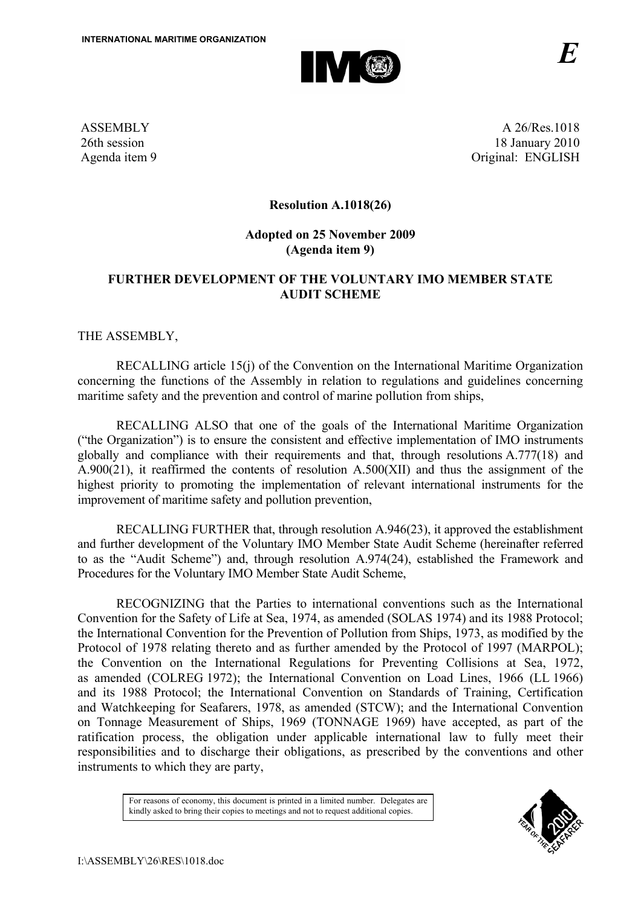

ASSEMBLY 26th session Agenda item 9

A 26/Res.1018 18 January 2010 Original: ENGLISH

## **Resolution A.1018(26)**

#### **Adopted on 25 November 2009 (Agenda item 9)**

## **FURTHER DEVELOPMENT OF THE VOLUNTARY IMO MEMBER STATE AUDIT SCHEME**

THE ASSEMBLY,

RECALLING article 15(j) of the Convention on the International Maritime Organization concerning the functions of the Assembly in relation to regulations and guidelines concerning maritime safety and the prevention and control of marine pollution from ships,

RECALLING ALSO that one of the goals of the International Maritime Organization ("the Organization") is to ensure the consistent and effective implementation of IMO instruments globally and compliance with their requirements and that, through resolutions A.777(18) and A.900(21), it reaffirmed the contents of resolution A.500(XII) and thus the assignment of the highest priority to promoting the implementation of relevant international instruments for the improvement of maritime safety and pollution prevention,

RECALLING FURTHER that, through resolution A.946(23), it approved the establishment and further development of the Voluntary IMO Member State Audit Scheme (hereinafter referred to as the "Audit Scheme") and, through resolution A.974(24), established the Framework and Procedures for the Voluntary IMO Member State Audit Scheme,

 RECOGNIZING that the Parties to international conventions such as the International Convention for the Safety of Life at Sea, 1974, as amended (SOLAS 1974) and its 1988 Protocol; the International Convention for the Prevention of Pollution from Ships, 1973, as modified by the Protocol of 1978 relating thereto and as further amended by the Protocol of 1997 (MARPOL); the Convention on the International Regulations for Preventing Collisions at Sea, 1972, as amended (COLREG 1972); the International Convention on Load Lines, 1966 (LL 1966) and its 1988 Protocol; the International Convention on Standards of Training, Certification and Watchkeeping for Seafarers, 1978, as amended (STCW); and the International Convention on Tonnage Measurement of Ships, 1969 (TONNAGE 1969) have accepted, as part of the ratification process, the obligation under applicable international law to fully meet their responsibilities and to discharge their obligations, as prescribed by the conventions and other instruments to which they are party,

> For reasons of economy, this document is printed in a limited number. Delegates are kindly asked to bring their copies to meetings and not to request additional copies.

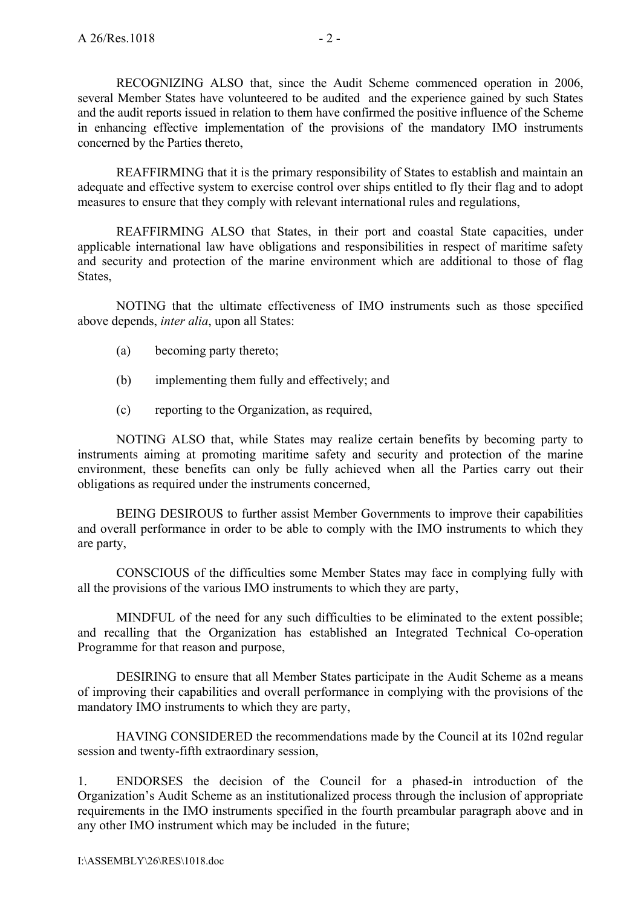RECOGNIZING ALSO that, since the Audit Scheme commenced operation in 2006, several Member States have volunteered to be audited and the experience gained by such States and the audit reports issued in relation to them have confirmed the positive influence of the Scheme in enhancing effective implementation of the provisions of the mandatory IMO instruments concerned by the Parties thereto,

REAFFIRMING that it is the primary responsibility of States to establish and maintain an adequate and effective system to exercise control over ships entitled to fly their flag and to adopt measures to ensure that they comply with relevant international rules and regulations,

REAFFIRMING ALSO that States, in their port and coastal State capacities, under applicable international law have obligations and responsibilities in respect of maritime safety and security and protection of the marine environment which are additional to those of flag States,

NOTING that the ultimate effectiveness of IMO instruments such as those specified above depends, *inter alia*, upon all States:

- (a) becoming party thereto;
- (b) implementing them fully and effectively; and
- (c) reporting to the Organization, as required,

NOTING ALSO that, while States may realize certain benefits by becoming party to instruments aiming at promoting maritime safety and security and protection of the marine environment, these benefits can only be fully achieved when all the Parties carry out their obligations as required under the instruments concerned,

BEING DESIROUS to further assist Member Governments to improve their capabilities and overall performance in order to be able to comply with the IMO instruments to which they are party,

CONSCIOUS of the difficulties some Member States may face in complying fully with all the provisions of the various IMO instruments to which they are party,

MINDFUL of the need for any such difficulties to be eliminated to the extent possible; and recalling that the Organization has established an Integrated Technical Co-operation Programme for that reason and purpose,

DESIRING to ensure that all Member States participate in the Audit Scheme as a means of improving their capabilities and overall performance in complying with the provisions of the mandatory IMO instruments to which they are party,

 HAVING CONSIDERED the recommendations made by the Council at its 102nd regular session and twenty-fifth extraordinary session,

1. ENDORSES the decision of the Council for a phased-in introduction of the Organization's Audit Scheme as an institutionalized process through the inclusion of appropriate requirements in the IMO instruments specified in the fourth preambular paragraph above and in any other IMO instrument which may be included in the future;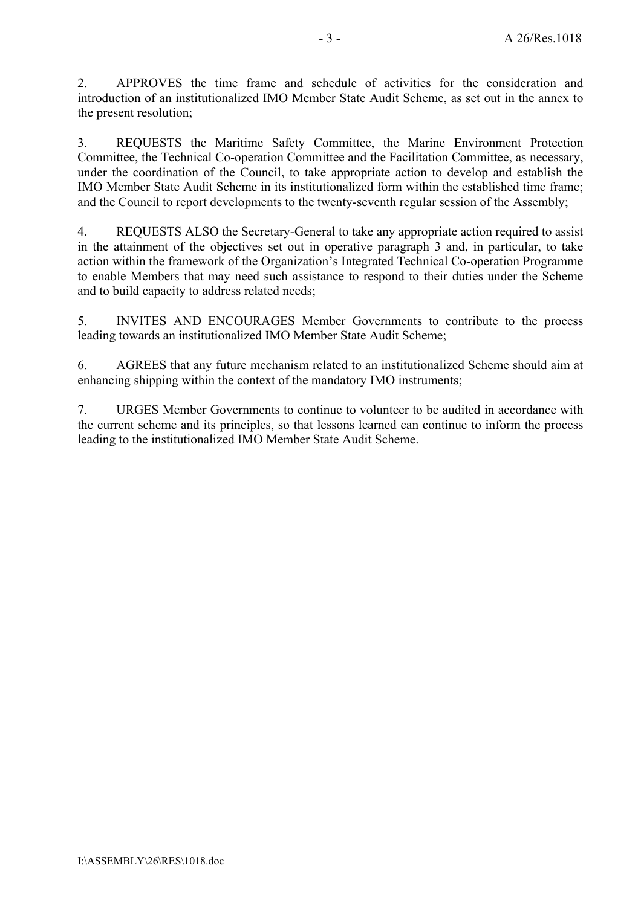2. APPROVES the time frame and schedule of activities for the consideration and introduction of an institutionalized IMO Member State Audit Scheme, as set out in the annex to the present resolution;

3. REQUESTS the Maritime Safety Committee, the Marine Environment Protection Committee, the Technical Co-operation Committee and the Facilitation Committee, as necessary, under the coordination of the Council, to take appropriate action to develop and establish the IMO Member State Audit Scheme in its institutionalized form within the established time frame; and the Council to report developments to the twenty-seventh regular session of the Assembly;

4. REQUESTS ALSO the Secretary-General to take any appropriate action required to assist in the attainment of the objectives set out in operative paragraph 3 and, in particular, to take action within the framework of the Organization's Integrated Technical Co-operation Programme to enable Members that may need such assistance to respond to their duties under the Scheme and to build capacity to address related needs;

5. INVITES AND ENCOURAGES Member Governments to contribute to the process leading towards an institutionalized IMO Member State Audit Scheme;

6. AGREES that any future mechanism related to an institutionalized Scheme should aim at enhancing shipping within the context of the mandatory IMO instruments;

7. URGES Member Governments to continue to volunteer to be audited in accordance with the current scheme and its principles, so that lessons learned can continue to inform the process leading to the institutionalized IMO Member State Audit Scheme.